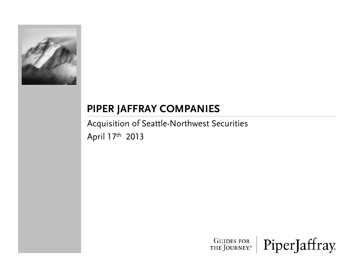

## **PIPER JAFFRAY COMPANIES**

Acquisition of Seattle-Northwest Securities April 17th <sup>2013</sup>

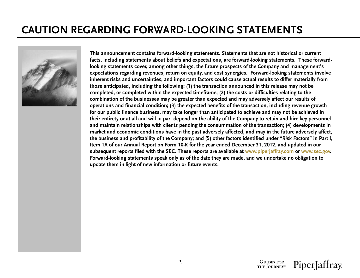## **CAUTION REGARDING FORWARD-LOOKING STATEMENTS**



**This announcement contains forward-looking statements. Statements that are not historical or current facts, including statements about beliefs and expectations, are forward-looking statements. These forward**looking statements cover, among other things, the future prospects of the Company and management's **expectations regarding revenues, return on equity, and cost synergies. Forward-looking statements involve inherent risks and uncertainties, and important factors could cause actual results to differ materially from those anticipated, including the following: (1) the transaction announced in this release may not be completed, or completed within the expected timeframe; (2) the costs or difficulties relating to the combination of the businesses may be greater than expected and may adversely affect our results of**  operations and financial condition; (3) the expected benefits of the transaction, including revenue growth **for our public finance business, may take longer than anticipated to achieve and may not be achieved in their entirety or at all and will in part depend on the ability of the Company to retain and hire key personnel and maintain relationships with clients pending the consummation of the transaction; (4) developments in market and economic conditions have in the past adversely affected, and may in the future adversely affect, the business and profitability of the Company; and (5) other factors identified under "Risk Factors" in Part I, Item 1A of our Annual Report on Form 10-K for the year ended December 31, 2012, and updated in our subsequent reports filed with the SEC. These reports are available at www.piperjaffray.com or www.sec.gov. Forward-looking statements speak only as of the date they are made, and we undertake no obligation to update them in light of new information or future events.**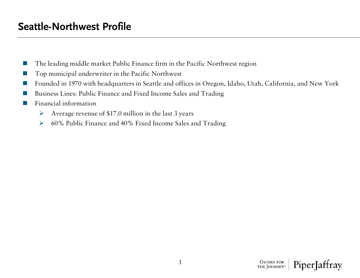- $\mathbb{R}^n$ The leading middle market Public Finance firm in the Pacific Northwest region
- **COL** Top municipal underwriter in the Pacific Northwest
- **College** Founded in 1970 with headquarters in Seattle and offices in Oregon, Idaho, Utah, California, and New York
- m. Business Lines: Public Finance and Fixed Income Sales and Trading
- ш Financial information
	- ¾Average revenue of \$17.0 million in the last 3 years
	- ¾60% Public Finance and 40% Fixed Income Sales and Trading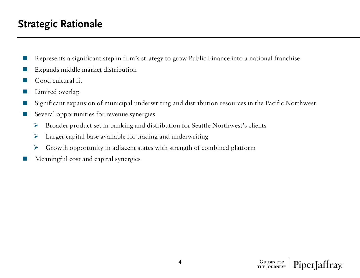## **Strategic Rationale**

- m. Represents a significant step in firm's strategy to grow Public Finance into a national franchise
- m. Expands middle market distribution
- F. Good cultural fit
- m. Limited overlap
- F. Significant expansion of municipal underwriting and distribution resources in the Pacific Northwest
- Several opportunities for revenue synergies
	- ¾Broader product set in banking and distribution for Seattle Northwest's clients
	- ¾Larger capital base available for trading and underwriting
	- ¾Growth opportunity in adjacent states with strength of combined platform
- ш Meaningful cost and capital synergies